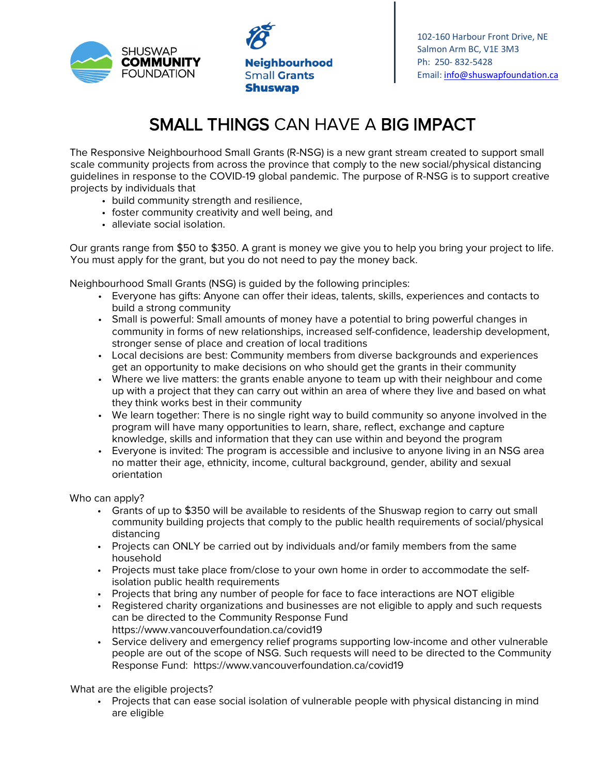

**Neighbourhood Small Grants Shuswap** 

102-160 Harbour Front Drive, NE Salmon Arm BC, V1E 3M3 Ph: 250- 832-5428 Email: [info@shuswapfoundation.ca](mailto:info@shuswapfoundation.ca)

## SMALL THINGS CAN HAVE A BIG IMPACT

The Responsive Neighbourhood Small Grants (R-NSG) is a new grant stream created to support small scale community projects from across the province that comply to the new social/physical distancing guidelines in response to the COVID-19 global pandemic. The purpose of R-NSG is to support creative projects by individuals that

- build community strength and resilience,
- foster community creativity and well being, and
- alleviate social isolation.

Our grants range from \$50 to \$350. A grant is money we give you to help you bring your project to life. You must apply for the grant, but you do not need to pay the money back.

Neighbourhood Small Grants (NSG) is guided by the following principles:

- Everyone has gifts: Anyone can offer their ideas, talents, skills, experiences and contacts to build a strong community
- Small is powerful: Small amounts of money have a potential to bring powerful changes in community in forms of new relationships, increased self-confidence, leadership development, stronger sense of place and creation of local traditions
- Local decisions are best: Community members from diverse backgrounds and experiences get an opportunity to make decisions on who should get the grants in their community
- Where we live matters: the grants enable anyone to team up with their neighbour and come up with a project that they can carry out within an area of where they live and based on what they think works best in their community
- We learn together: There is no single right way to build community so anyone involved in the program will have many opportunities to learn, share, reflect, exchange and capture knowledge, skills and information that they can use within and beyond the program
- Everyone is invited: The program is accessible and inclusive to anyone living in an NSG area no matter their age, ethnicity, income, cultural background, gender, ability and sexual orientation

Who can apply?

- Grants of up to \$350 will be available to residents of the Shuswap region to carry out small community building projects that comply to the public health requirements of social/physical distancing
- Projects can ONLY be carried out by individuals and/or family members from the same household
- Projects must take place from/close to your own home in order to accommodate the selfisolation public health requirements
- Projects that bring any number of people for face to face interactions are NOT eligible
- Registered charity organizations and businesses are not eligible to apply and such requests can be directed to the Community Response Fund https://www.vancouverfoundation.ca/covid19
- Service delivery and emergency relief programs supporting low-income and other vulnerable people are out of the scope of NSG. Such requests will need to be directed to the Community Response Fund: https://www.vancouverfoundation.ca/covid19

What are the eligible projects?

• Projects that can ease social isolation of vulnerable people with physical distancing in mind are eligible